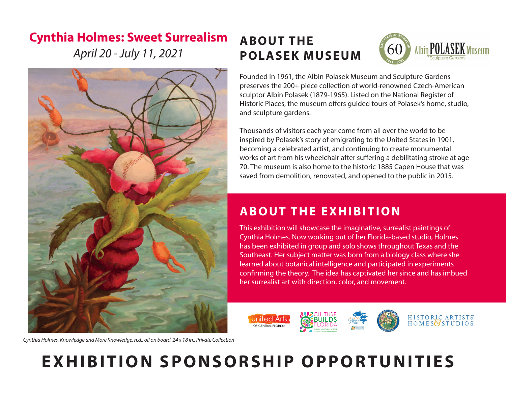## **Cynthia Holmes: Sweet Surrealism**

*April 20 - July 11, 2021*



*Cynthia Holmes, Knowledge and More Knowledge, n.d., oil on board, 24 x 18 in., Private Collection*

# **ABOUT THE POLASEK MUSEUM**



Founded in 1961, the Albin Polasek Museum and Sculpture Gardens preserves the 200+ piece collection of world-renowned Czech-American sculptor Albin Polasek (1879-1965). Listed on the National Register of Historic Places, the museum offers guided tours of Polasek's home, studio, and sculpture gardens.

Thousands of visitors each year come from all over the world to be inspired by Polasek's story of emigrating to the United States in 1901, becoming a celebrated artist, and continuing to create monumental works of art from his wheelchair after suffering a debilitating stroke at age 70. The museum is also home to the historic 1885 Capen House that was saved from demolition, renovated, and opened to the public in 2015.

## **ABOUT THE EXHIBITION**

This exhibition will showcase the imaginative, surrealist paintings of Cynthia Holmes. Now working out of her Florida-based studio, Holmes has been exhibited in group and solo shows throughout Texas and the Southeast. Her subject matter was born from a biology class where she learned about botanical intelligence and participated in experiments confirming the theory. The idea has captivated her since and has imbued her surrealist art with direction, color, and movement.



# **EXHIBITION SPONSORSHIP OPPORTUNITIES**